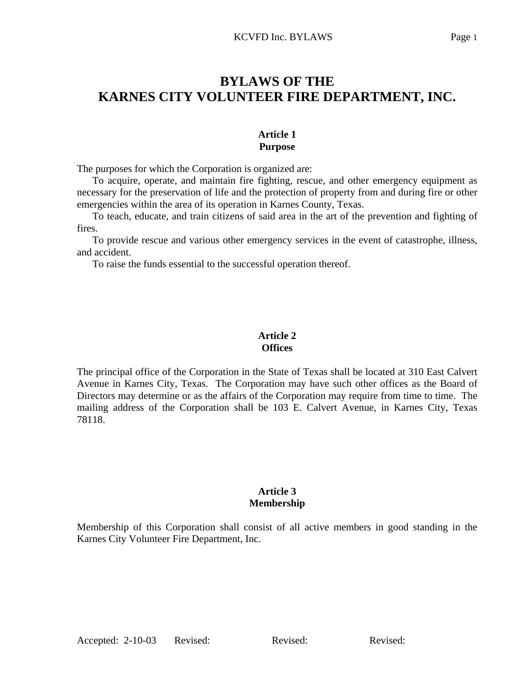# **BYLAWS OF THE KARNES CITY VOLUNTEER FIRE DEPARTMENT, INC.**

#### **Article 1 Purpose**

The purposes for which the Corporation is organized are:

 To acquire, operate, and maintain fire fighting, rescue, and other emergency equipment as necessary for the preservation of life and the protection of property from and during fire or other emergencies within the area of its operation in Karnes County, Texas.

 To teach, educate, and train citizens of said area in the art of the prevention and fighting of fires.

 To provide rescue and various other emergency services in the event of catastrophe, illness, and accident.

To raise the funds essential to the successful operation thereof.

#### **Article 2 Offices**

The principal office of the Corporation in the State of Texas shall be located at 310 East Calvert Avenue in Karnes City, Texas. The Corporation may have such other offices as the Board of Directors may determine or as the affairs of the Corporation may require from time to time. The mailing address of the Corporation shall be 103 E. Calvert Avenue, in Karnes City, Texas 78118.

#### **Article 3 Membership**

Membership of this Corporation shall consist of all active members in good standing in the Karnes City Volunteer Fire Department, Inc.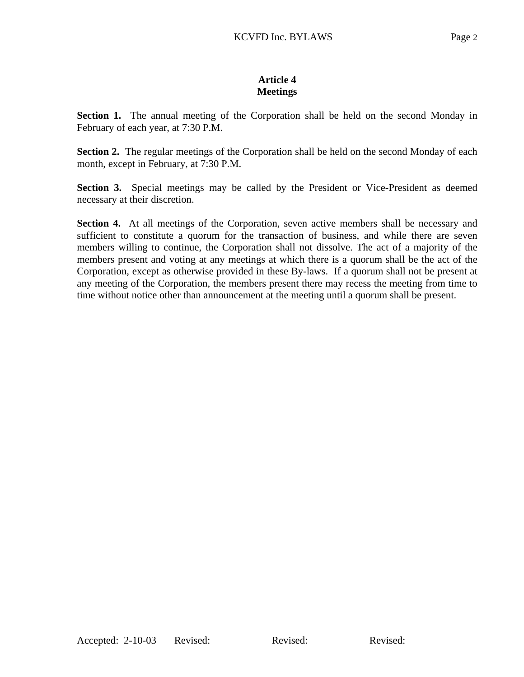#### **Article 4 Meetings**

**Section 1.** The annual meeting of the Corporation shall be held on the second Monday in February of each year, at 7:30 P.M.

**Section 2.** The regular meetings of the Corporation shall be held on the second Monday of each month, except in February, at 7:30 P.M.

**Section 3.** Special meetings may be called by the President or Vice-President as deemed necessary at their discretion.

**Section 4.** At all meetings of the Corporation, seven active members shall be necessary and sufficient to constitute a quorum for the transaction of business, and while there are seven members willing to continue, the Corporation shall not dissolve. The act of a majority of the members present and voting at any meetings at which there is a quorum shall be the act of the Corporation, except as otherwise provided in these By-laws. If a quorum shall not be present at any meeting of the Corporation, the members present there may recess the meeting from time to time without notice other than announcement at the meeting until a quorum shall be present.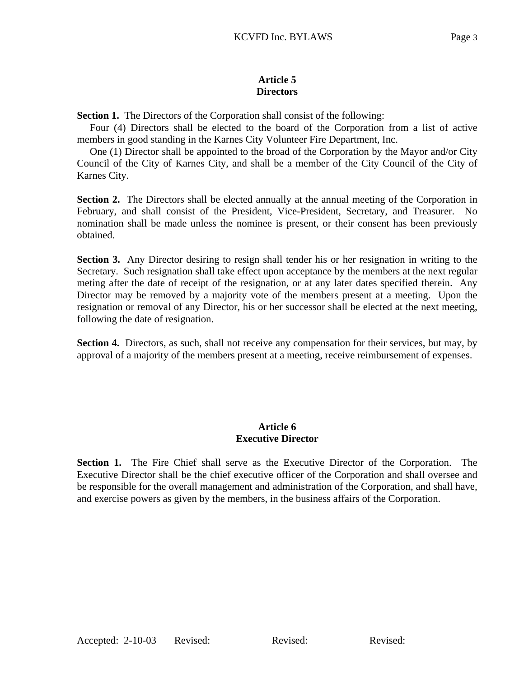### **Article 5 Directors**

**Section 1.** The Directors of the Corporation shall consist of the following:

 Four (4) Directors shall be elected to the board of the Corporation from a list of active members in good standing in the Karnes City Volunteer Fire Department, Inc.

 One (1) Director shall be appointed to the broad of the Corporation by the Mayor and/or City Council of the City of Karnes City, and shall be a member of the City Council of the City of Karnes City.

**Section 2.** The Directors shall be elected annually at the annual meeting of the Corporation in February, and shall consist of the President, Vice-President, Secretary, and Treasurer. No nomination shall be made unless the nominee is present, or their consent has been previously obtained.

**Section 3.** Any Director desiring to resign shall tender his or her resignation in writing to the Secretary. Such resignation shall take effect upon acceptance by the members at the next regular meting after the date of receipt of the resignation, or at any later dates specified therein. Any Director may be removed by a majority vote of the members present at a meeting. Upon the resignation or removal of any Director, his or her successor shall be elected at the next meeting, following the date of resignation.

**Section 4.** Directors, as such, shall not receive any compensation for their services, but may, by approval of a majority of the members present at a meeting, receive reimbursement of expenses.

## **Article 6 Executive Director**

**Section 1.** The Fire Chief shall serve as the Executive Director of the Corporation. The Executive Director shall be the chief executive officer of the Corporation and shall oversee and be responsible for the overall management and administration of the Corporation, and shall have, and exercise powers as given by the members, in the business affairs of the Corporation.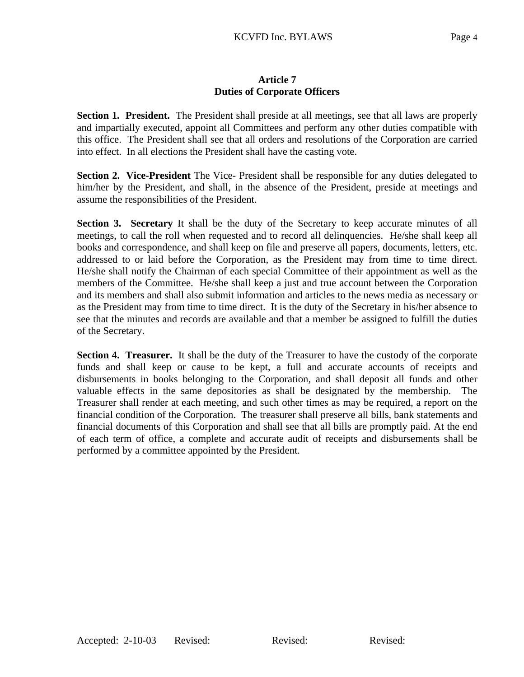#### **Article 7 Duties of Corporate Officers**

**Section 1. President.** The President shall preside at all meetings, see that all laws are properly and impartially executed, appoint all Committees and perform any other duties compatible with this office. The President shall see that all orders and resolutions of the Corporation are carried into effect. In all elections the President shall have the casting vote.

**Section 2. Vice-President** The Vice- President shall be responsible for any duties delegated to him/her by the President, and shall, in the absence of the President, preside at meetings and assume the responsibilities of the President.

**Section 3. Secretary** It shall be the duty of the Secretary to keep accurate minutes of all meetings, to call the roll when requested and to record all delinquencies. He/she shall keep all books and correspondence, and shall keep on file and preserve all papers, documents, letters, etc. addressed to or laid before the Corporation, as the President may from time to time direct. He/she shall notify the Chairman of each special Committee of their appointment as well as the members of the Committee. He/she shall keep a just and true account between the Corporation and its members and shall also submit information and articles to the news media as necessary or as the President may from time to time direct. It is the duty of the Secretary in his/her absence to see that the minutes and records are available and that a member be assigned to fulfill the duties of the Secretary.

**Section 4. Treasurer.** It shall be the duty of the Treasurer to have the custody of the corporate funds and shall keep or cause to be kept, a full and accurate accounts of receipts and disbursements in books belonging to the Corporation, and shall deposit all funds and other valuable effects in the same depositories as shall be designated by the membership. Treasurer shall render at each meeting, and such other times as may be required, a report on the financial condition of the Corporation. The treasurer shall preserve all bills, bank statements and financial documents of this Corporation and shall see that all bills are promptly paid. At the end of each term of office, a complete and accurate audit of receipts and disbursements shall be performed by a committee appointed by the President.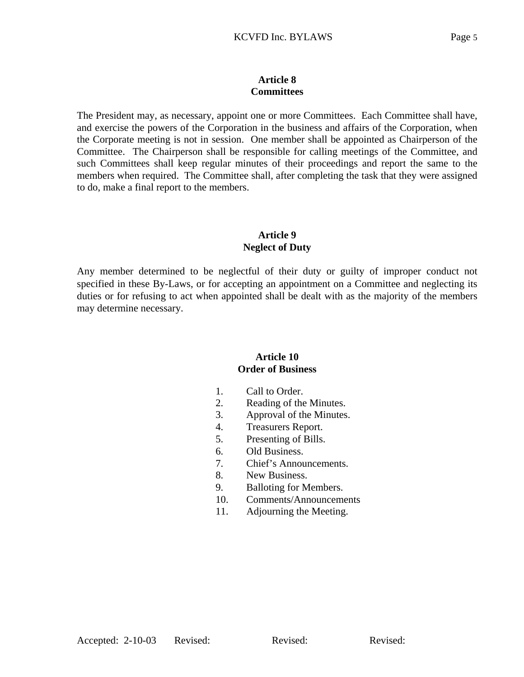#### **Article 8 Committees**

The President may, as necessary, appoint one or more Committees. Each Committee shall have, and exercise the powers of the Corporation in the business and affairs of the Corporation, when the Corporate meeting is not in session. One member shall be appointed as Chairperson of the Committee. The Chairperson shall be responsible for calling meetings of the Committee, and such Committees shall keep regular minutes of their proceedings and report the same to the members when required. The Committee shall, after completing the task that they were assigned to do, make a final report to the members.

## **Article 9 Neglect of Duty**

Any member determined to be neglectful of their duty or guilty of improper conduct not specified in these By-Laws, or for accepting an appointment on a Committee and neglecting its duties or for refusing to act when appointed shall be dealt with as the majority of the members may determine necessary.

### **Article 10 Order of Business**

- 1. Call to Order.
- 2. Reading of the Minutes.
- 3. Approval of the Minutes.
- 4. Treasurers Report.
- 5. Presenting of Bills.
- 6. Old Business.
- 7. Chief's Announcements.
- 8. New Business.
- 9. Balloting for Members.
- 10. Comments/Announcements
- 11. Adjourning the Meeting.